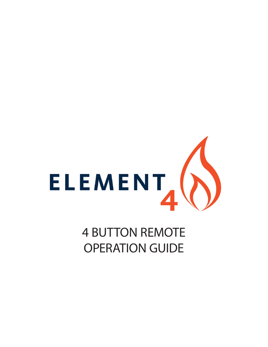

# 4 BUTTON REMOTE OPERATION GUIDE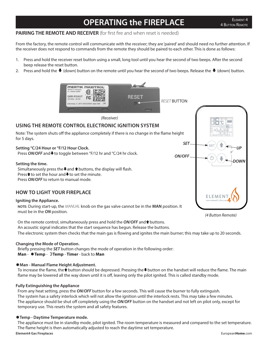## **OPERATING the FIREPLACE**

### **PAIRING THE REMOTE AND RECEIVER** (for first fire and when reset is needed)

From the factory, the remote control will communicate with the receiver; they are 'paired' and should need no further attention. If the receiver does not respond to commands from the remote they should be paired to each other. This is done as follows:

- 1. Press and hold the receiver reset button using a small, long tool until you hear the second of two beeps. After the second beep release the reset button.
- 2. Press and hold the  $\blacklozenge$  (down) button on the remote until you hear the second of two beeps. Release the  $\blacklozenge$  (down) button.



*(4 Button Remote)*

On the remote control, simultaneously press and hold the *ON/OFF* and **that** buttons. An acoustic signal indicates that the start sequence has begun. Release the buttons. The electronic system then checks that the main gas is flowing and ignites the main burner; this may take up to 20 seconds.

### **Changing the Mode of Operation.**

for 5 days.

Briefly pressing the *SET* button changes the mode of operation in the following order: **Man** -  $\text{#Temp - }$  **Temp** - **Timer** - back to **Man** 

### **Man - Manual Flame Height Adjustment.**

To increase the flame, the <sup>★</sup>button should be depressed. Pressing the ♦button on the handset will reduce the flame. The main flame may be lowered all the way down until it is off, leaving only the pilot ignited. This is called standby mode.

### **Fully Extinguishing the Appliance**

From any heat setting, press the *ON*/*OFF* button for a few seconds. This will cause the burner to fully extinguish. The system has a safety interlock which will not allow the ignition until the interlock rests. This may take a few minutes. The appliance should be shut off completely using the *ON*/*OFF* button on the handset and not left on pilot only, except for temporary use. This resets the system and all safety features.

### **Temp - Daytime Temperature mode.**

The appliance must be in standby mode, pilot ignited. The room temperature is measured and compared to the set temperature. The flame height is then automatically adjusted to reach the daytime set temperature.

#### **Element4 Gas Fireplaces** European**Home**.com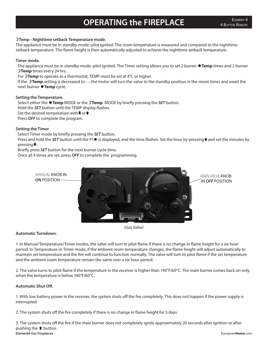# **OPERATING the FIREPLACE**

### **Temp - Nighttime setback Temperature mode.**

The appliance must be in standby mode, pilot ignited. The room temperature is measured and compared to the nighttime setback temperature. The flame height is then automatically adjusted to achieve the nighttime setback temperature.

### **Timer mode.**

The appliance must be in standby mode, pilot ignited. The Timer setting allows you to set 2 burner **Temp** times and 2 burner **Temp** times every 24 hrs.

For **Temp** to operate as a thermostat, TEMP must be set at 4°C or higher.

If the **Temp** setting is decreased to - -, the motor will turn the valve to the standby position in the moon times and await the next burner **#Temp** cycle.

### **Setting the Temperature.**

Select either the **Temp** MODE or the **Temp** MODE by briefly pressing the *SET* button. Hold the *SET* button until the TEMP display flashes. Set the desired temperature with $\bullet$  or  $\bullet$ . Press *OFF* to complete the program.

### **Setting the Timer.**

Select Timer mode by briefly pressing the *SET* button.

Press and hold the **SET** button until the P1 is displayed, and the time flashes. Set the hour by pressing **t** and set the minutes by pressing.

Briefly press *SET* button for the next burner cycle time.

Once all 4 times are set, press *OFF* to complete the programming.



*(Gas Valve)*

### **Automatic Turndown.**

1. In Manual/Temperature/Timer modes, the valve will turn to pilot flame if there is no change in flame height for a six hour period. In Temperature or Timer mode, if the ambient room temperature changes, the flame height will adjust automatically to maintain set temperature and the fire will continue to function normally. The valve will turn to pilot flame if the set temperature and the ambient room temperature remain the same over a six hour period.

2. The valve turns to pilot flame if the temperature in the receiver is higher than 140°F/60°C. The main burner comes back on only when the temperature is below 140°F/60°C.

### **Automatic Shut Off.**

1. With low battery power in the receiver, the system shuts off the fire completely. This does not happen if the power supply is interrupted.

2. The system shuts off the fire completely if there is no change in flame height for 5 days.

**Element4 Gas Fireplaces** European**Home**.com 3. The system shuts off the fire if the main burner does not completely ignite approximately 20 seconds after ignition or after pushing the  $\triangle$  button.